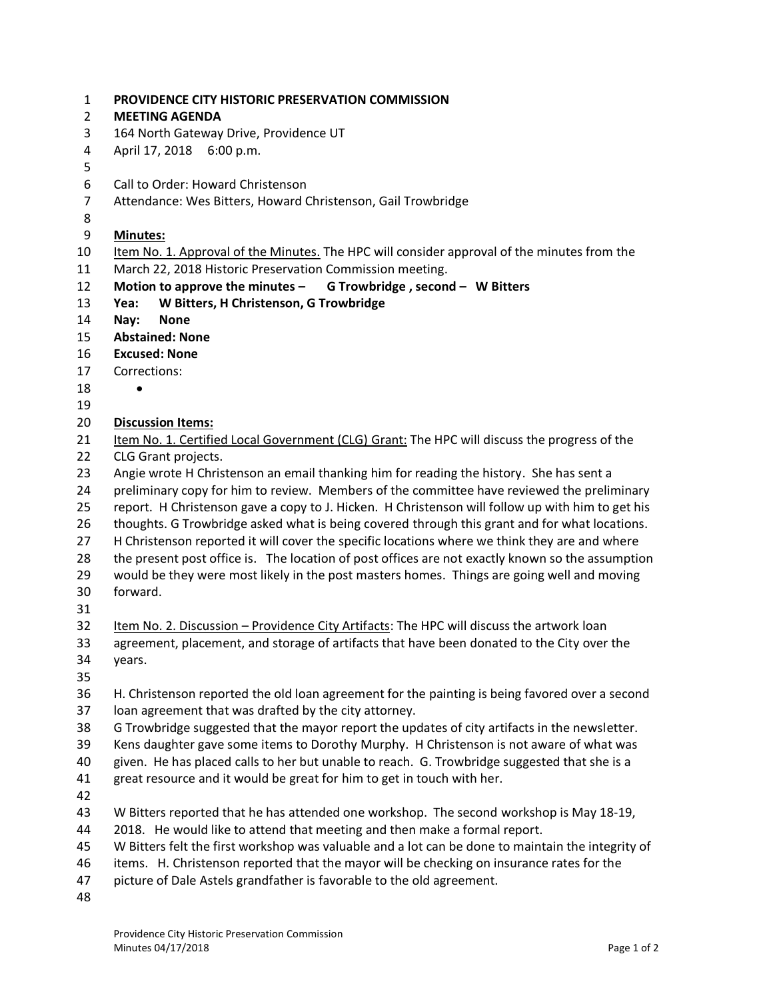| <b>PROVIDENCE CITY HISTORIC PRESERVATION COMMISSION</b> |
|---------------------------------------------------------|
|                                                         |

- **MEETING AGENDA**
- 164 North Gateway Drive, Providence UT
- April 17, 2018 6:00 p.m.
- 
- Call to Order: Howard Christenson
- Attendance: Wes Bitters, Howard Christenson, Gail Trowbridge
- 
- **Minutes:**
- Item No. 1. Approval of the Minutes. The HPC will consider approval of the minutes from the March 22, 2018 Historic Preservation Commission meeting.
- **Motion to approve the minutes – G Trowbridge , second – W Bitters**
- **Yea: W Bitters, H Christenson, G Trowbridge**
- **Nay: None**
- **Abstained: None**
- **Excused: None**
- Corrections:
- 
- 
- **Discussion Items:**
- 21 Item No. 1. Certified Local Government (CLG) Grant: The HPC will discuss the progress of the CLG Grant projects.
- Angie wrote H Christenson an email thanking him for reading the history. She has sent a
- preliminary copy for him to review. Members of the committee have reviewed the preliminary
- report. H Christenson gave a copy to J. Hicken. H Christenson will follow up with him to get his
- thoughts. G Trowbridge asked what is being covered through this grant and for what locations.
- H Christenson reported it will cover the specific locations where we think they are and where
- 28 the present post office is. The location of post offices are not exactly known so the assumption
- would be they were most likely in the post masters homes. Things are going well and moving forward.
- 
- Item No. 2. Discussion Providence City Artifacts: The HPC will discuss the artwork loan agreement, placement, and storage of artifacts that have been donated to the City over the years.
- 
- H. Christenson reported the old loan agreement for the painting is being favored over a second loan agreement that was drafted by the city attorney.
- G Trowbridge suggested that the mayor report the updates of city artifacts in the newsletter.
- Kens daughter gave some items to Dorothy Murphy. H Christenson is not aware of what was
- given. He has placed calls to her but unable to reach. G. Trowbridge suggested that she is a
- great resource and it would be great for him to get in touch with her.
- 
- W Bitters reported that he has attended one workshop. The second workshop is May 18-19,
- 2018. He would like to attend that meeting and then make a formal report.
- W Bitters felt the first workshop was valuable and a lot can be done to maintain the integrity of
- items. H. Christenson reported that the mayor will be checking on insurance rates for the
- picture of Dale Astels grandfather is favorable to the old agreement.
-